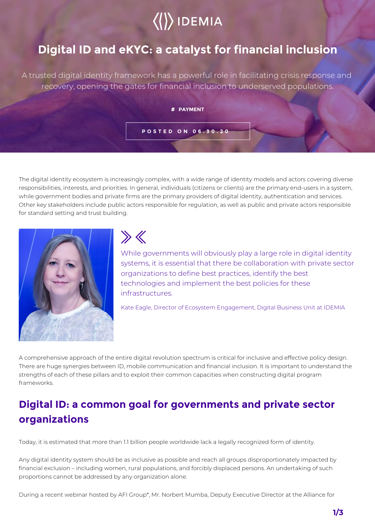# $\langle\langle\rangle\rangle$  IDEMIA

## **Digital ID and eKYC: a catalyst for financial inclusion**

A trusted digital identity framework has a powerful role in facilitating crisis response and recovery, opening the gates for financial inclusion to underserved populations.

**# PAYMENT**

**POSTED ON 06.30.20**

The digital identity ecosystem is increasingly complex, with a wide range of identity models and actors covering diverse responsibilities, interests, and priorities. In general, individuals (citizens or clients) are the primary end-users in a system, while government bodies and private firms are the primary providers of digital identity, authentication and services. Other key stakeholders include public actors responsible for regulation, as well as public and private actors responsible for standard setting and trust building.



 $\gg K$ 

While governments will obviously play a large role in digital identity systems, it is essential that there be collaboration with private sector organizations to define best practices, identify the best technologies and implement the best policies for these infrastructures.

Kate Eagle, Director of Ecosystem Engagement, Digital Business Unit at IDEMIA

A comprehensive approach of the entire digital revolution spectrum is critical for inclusive and effective policy design. There are huge synergies between ID, mobile communication and financial inclusion. It is important to understand the strengths of each of these pillars and to exploit their common capacities when constructing digital program frameworks.

## **Digital ID: a common goal for governments and private sector organizations**

Today, it is estimated that more than 1.1 billion people worldwide lack a legally recognized form of identity.

Any digital identity system should be as inclusive as possible and reach all groups disproportionately impacted by financial exclusion – including women, rural populations, and forcibly displaced persons. An undertaking of such proportions cannot be addressed by any organization alone.

During a recent webinar hosted by AFI Group\*, Mr. Norbert Mumba, Deputy Executive Director at the Alliance for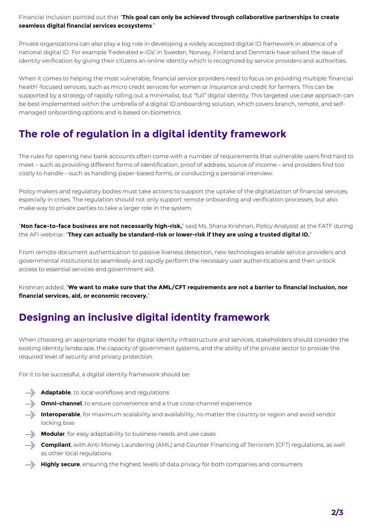Financial Inclusion pointed out that "**This goal can only be achieved through collaborative partnerships to create seamless digital financial services ecosystems***.*"

Private organizations can also play a big role in developing a widely accepted digital ID framework in absence of a national digital ID. For example 'Federated e-IDs' in Sweden, Norway, Finland and Denmark have solved the issue of identity verification by giving their citizens an online identity which is recognized by service providers and authorities.

When it comes to helping the most vulnerable, financial service providers need to focus on providing multiple 'financial health'-focused services, such as micro credit services for women or insurance and credit for farmers. This can be supported by a strategy of rapidly rolling out a minimalist, but "full" digital identity. This targeted use case approach can be best implemented within the umbrella of a digital ID onboarding solution, which covers branch, remote, and selfmanaged onboarding options and is based on biometrics.

#### **The role of regulation in a digital identity framework**

The rules for opening new bank accounts often come with a number of requirements that vulnerable users find hard to meet – such as providing different forms of identification, proof of address, source of income – and providers find too costly to handle – such as handling paper-based forms, or conducting a personal interview.

Policy makers and regulatory bodies must take actions to support the uptake of the digitalization of financial services, especially in crises. The regulation should not only support remote onboarding and verification processes, but also make way to private parties to take a larger role in the system.

"**Non face-to-face business are not necessarily high-risk,**" said Ms. Shana Krishnan, Policy Analysist at the FATF during the AFI webinar. "**They can actually be standard-risk or lower-risk if they are using a trusted digital ID.**"

From remote document authentication to passive liveness detection, new technologies enable service providers and governmental institutions to seamlessly and rapidly perform the necessary user authentications and then unlock access to essential services and government aid.

Krishnan added, "**We want to make sure that the AML/CFT requirements are not a barrier to financial inclusion, nor financial services, aid, or economic recovery.**"

### **Designing an inclusive digital identity framework**

When choosing an appropriate model for digital identity infrastructure and services, stakeholders should consider the existing identity landscape, the capacity of government systems, and the ability of the private sector to provide the required level of security and privacy protection.

For it to be successful, a digital identity framework should be:

- $\Rightarrow$  **Adaptable**, to local workflows and regulations
- $\implies$  **Omni-channel**, to ensure convenience and a true cross-channel experience
- $\rightarrow$  **Interoperable**, for maximum scalability and availability, no matter the country or region and avoid vendor locking bias
- $\Rightarrow$  **Modular**, for easy adaptability to business needs and use cases
- $\Rightarrow$  **Compliant**, with Anti-Money Laundering (AML) and Counter Financing of Terrorism (CFT) regulations, as well as other local regulations
- $\rightarrow$  **Highly secure**, ensuring the highest levels of data privacy for both companies and consumers